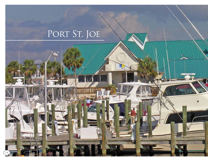# PORT ST. JOE

**FMRMME** 

74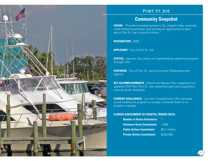

### PORT ST. JOE

## **Community Snapshot**

**VISION:** "Provide increased access to St. Joseph's Bay, promote water-based businesses, and provide an opportunity to learn about Port St. Joe's colorful history."

**DESIGNATION:** 2005

**APPLICANT:** City of Port St. Joe

**STATUS:** Inactive; City works on implementing waterfront projects through CRA.

**PARTNERS:** City of Port St. Joe Community Redevelopment Agency.

**KEY ACCOMPLISHMENTS:** Waterfront Master Plan integrated into updated CRA Plan; Port St. Joe waterfront park land acquisition; cultural center feasibility

**CURRENT CHALLENGES:** Line item funding from CRA removed; future funding for program is unclear; currently there is no program manager.

### **FLORIDA ASSESSMENT OF COASTAL TRENDS DATA:**

| <b>Number of Active Volunteers:</b>       |               |
|-------------------------------------------|---------------|
| <b>Volunteer Hours Contributed: 7,860</b> |               |
| <b>Public Dollars Contributed:</b>        | \$5.1 million |
| <b>Private Dollars Contributed:</b>       | \$250,000     |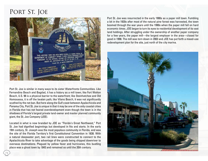# PORT ST. JOE



Port St. Joe is similar in many ways to its sister Waterfronts Communities. Like Fernandina Beach and Bagdad, it has a history as a mill town; like Fort Walton Beach, U.S. 98 is a physical barrier to the waterfront; like Steinhatchee and Old Homosassa, it is off the beaten path; like Vilano Beach, it was not significantly scathed by the net ban. But here along the Gulf coast between Apalachicola and Panama City, Port St. Joe is unique in that it may be one of the only coastal cities in Florida that has not feared overdevelopment even though the town is in the shadows of Florida's largest private land-owner and master planned community giant, the St. Joe Company (JOE).

Located in what is now branded by JOE as "Florida's Great Northwest," Port St. Joe had dignified beginnings but developed in fits and starts. In the early 19th century, St. Joseph was the most populous community in Florida, and was the site of the Florida Territory's first Constitutional Convention in 1838. With a natural deepwater port, two rail lines were constructed to connect to the Apalachicola River to take advantage of the goods being shipped downriver to overseas destinations. Plagued by yellow fever and hurricanes, this bustling place was a ghost town by 1843 and remained so until the 20th century.

Port St. Joe was resurrected in the early 1900s as a paper mill town. Fumbling a bit in the 1920s after most of the natural pine forest was harvested, the town boomed through the war years until the 1990s when the paper mill fell on hard economic times. JOE began to turn its eyes to residential development of its vast land holdings. After struggling under the ownership of another paper company for a few years, the paper mill—the largest employer in the area—closed for good in 1998. The mill was torn down in 2003 and JOE has put forth a mixed-use redevelopment plan for the site, just north of the city marina.